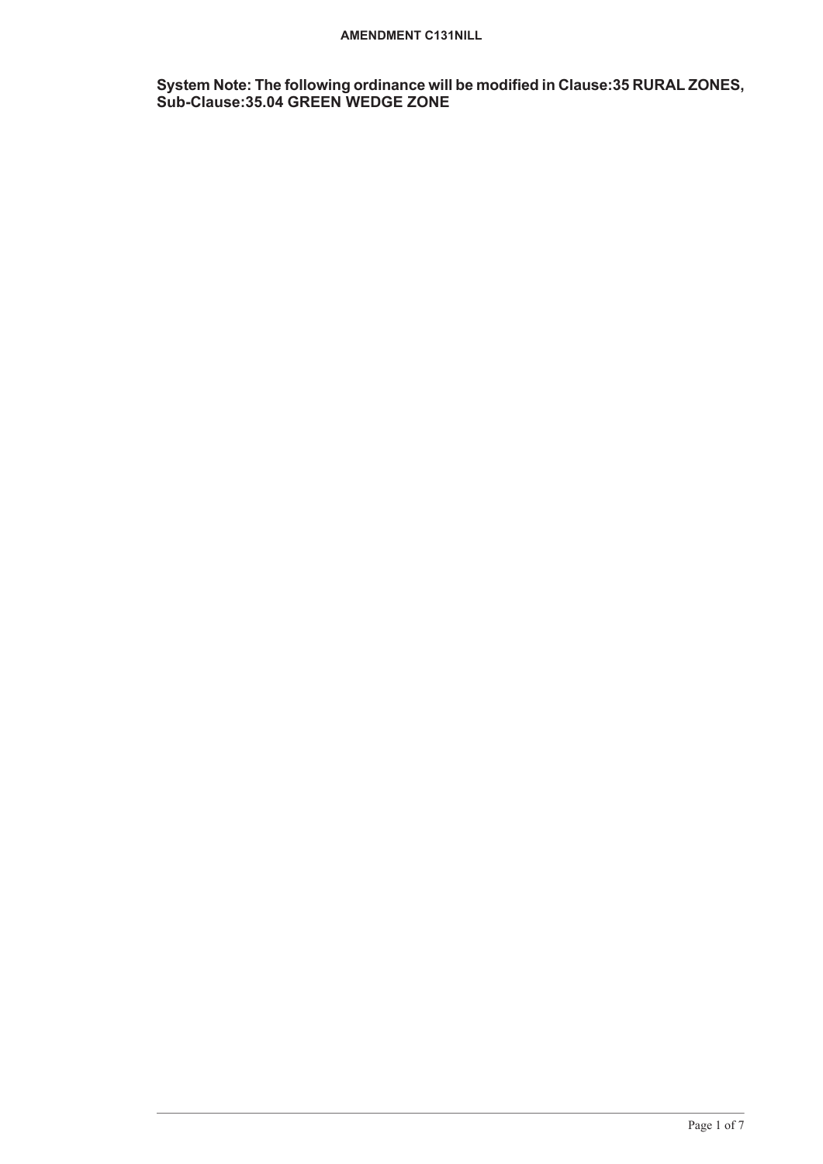#### **AMENDMENT C131NILL**

**System Note: The following ordinance will be modified in Clause:35 RURAL ZONES, Sub-Clause:35.04 GREEN WEDGE ZONE**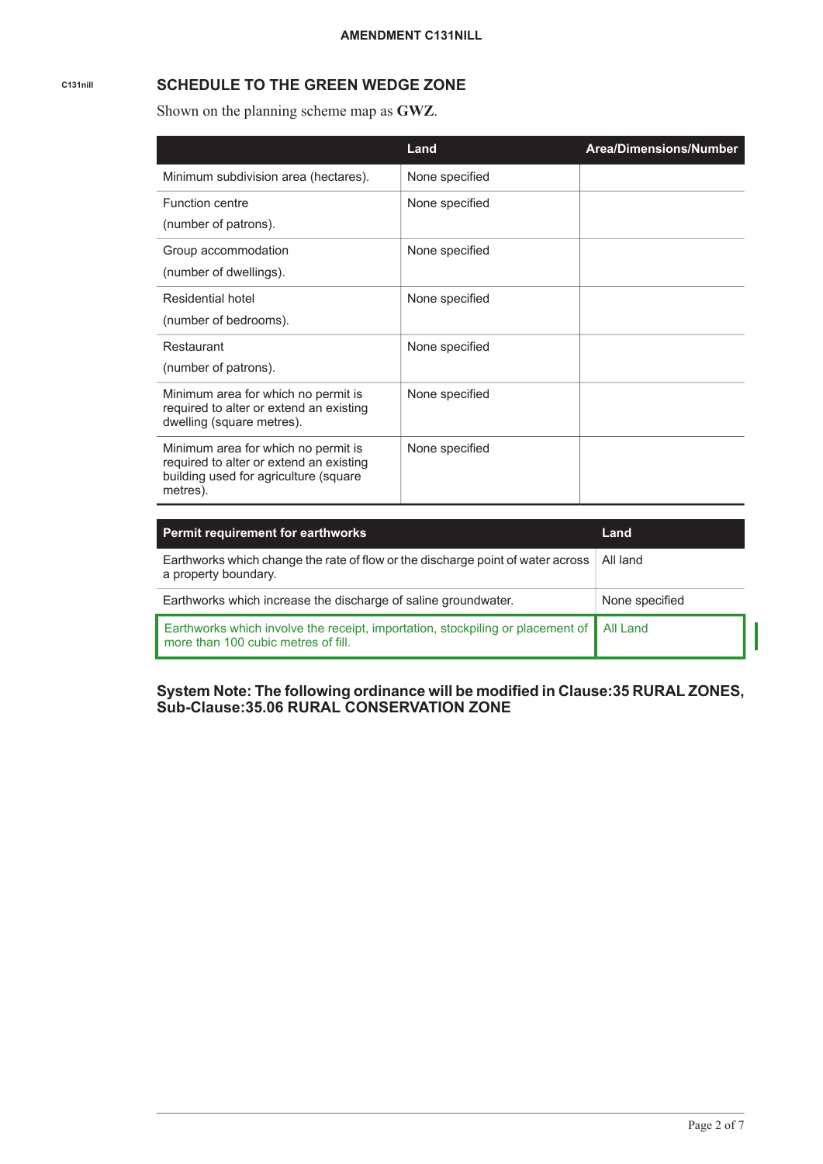# **C131nill SCHEDULE TO THE GREEN WEDGE ZONE**

Shown on the planning scheme map as **GWZ**.

|                                                                                                                                     | Land           | <b>Area/Dimensions/Number</b> |
|-------------------------------------------------------------------------------------------------------------------------------------|----------------|-------------------------------|
| Minimum subdivision area (hectares).                                                                                                | None specified |                               |
| <b>Function centre</b><br>(number of patrons).                                                                                      | None specified |                               |
| Group accommodation<br>(number of dwellings).                                                                                       | None specified |                               |
| Residential hotel<br>(number of bedrooms).                                                                                          | None specified |                               |
| Restaurant<br>(number of patrons).                                                                                                  | None specified |                               |
| Minimum area for which no permit is<br>required to alter or extend an existing<br>dwelling (square metres).                         | None specified |                               |
| Minimum area for which no permit is<br>required to alter or extend an existing<br>building used for agriculture (square<br>metres). | None specified |                               |

| <b>Permit requirement for earthworks</b>                                                                                         | Land           |
|----------------------------------------------------------------------------------------------------------------------------------|----------------|
| Earthworks which change the rate of flow or the discharge point of water across<br>a property boundary.                          | All land       |
| Earthworks which increase the discharge of saline groundwater.                                                                   | None specified |
| Earthworks which involve the receipt, importation, stockpiling or placement of   All Land<br>more than 100 cubic metres of fill. |                |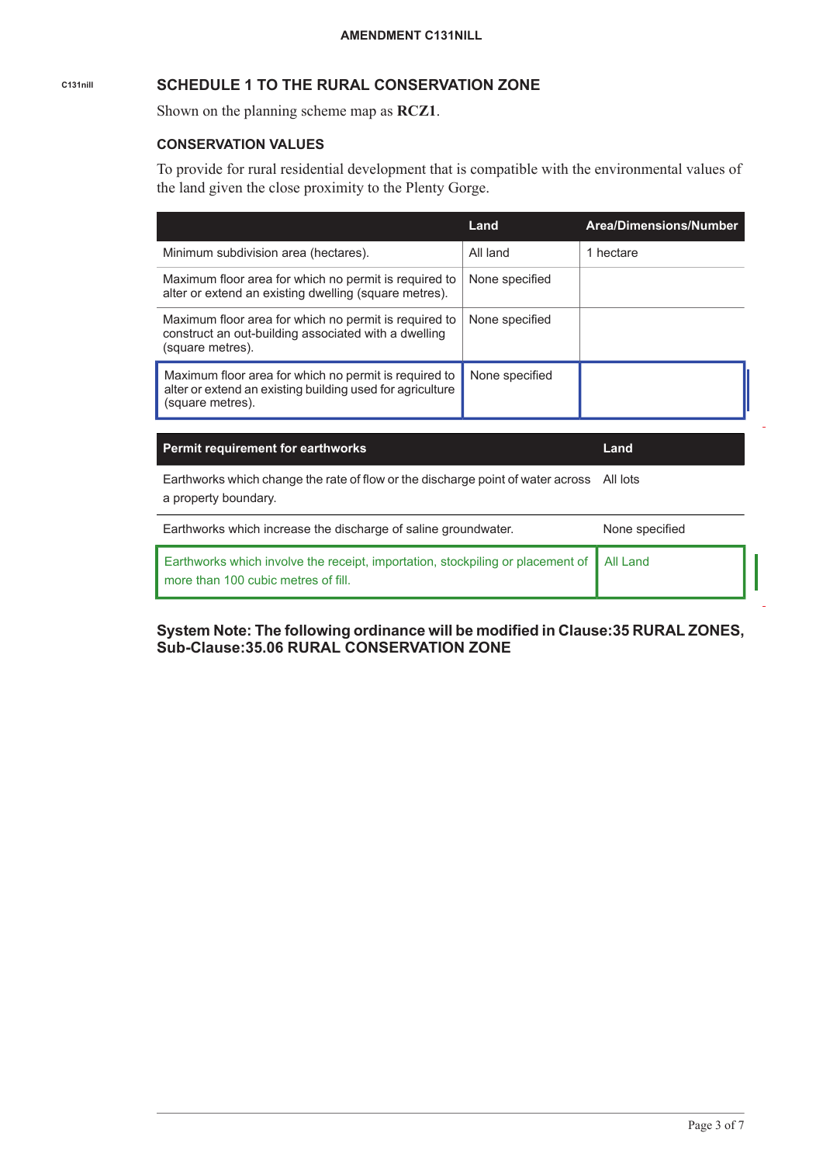# **C131nill SCHEDULE 1 TO THE RURAL CONSERVATION ZONE**

Shown on the planning scheme map as **RCZ1**.

## **CONSERVATION VALUES**

To provide for rural residential development that is compatible with the environmental values of the land given the close proximity to the Plenty Gorge.

|                                                                                                                                        | Land           | Area/Dimensions/Number |
|----------------------------------------------------------------------------------------------------------------------------------------|----------------|------------------------|
| Minimum subdivision area (hectares).                                                                                                   | All land       | 1 hectare              |
| Maximum floor area for which no permit is required to<br>alter or extend an existing dwelling (square metres).                         | None specified |                        |
| Maximum floor area for which no permit is required to<br>construct an out-building associated with a dwelling<br>(square metres).      | None specified |                        |
| Maximum floor area for which no permit is required to<br>alter or extend an existing building used for agriculture<br>(square metres). | None specified |                        |

**Permit requirement for earthworks Land**

Earthworks which change the rate of flow or the discharge point of water across All lots a property boundary.

| Earthworks which increase the discharge of saline groundwater.                                                                   | None specified |
|----------------------------------------------------------------------------------------------------------------------------------|----------------|
| Earthworks which involve the receipt, importation, stockpiling or placement of   All Land<br>more than 100 cubic metres of fill. |                |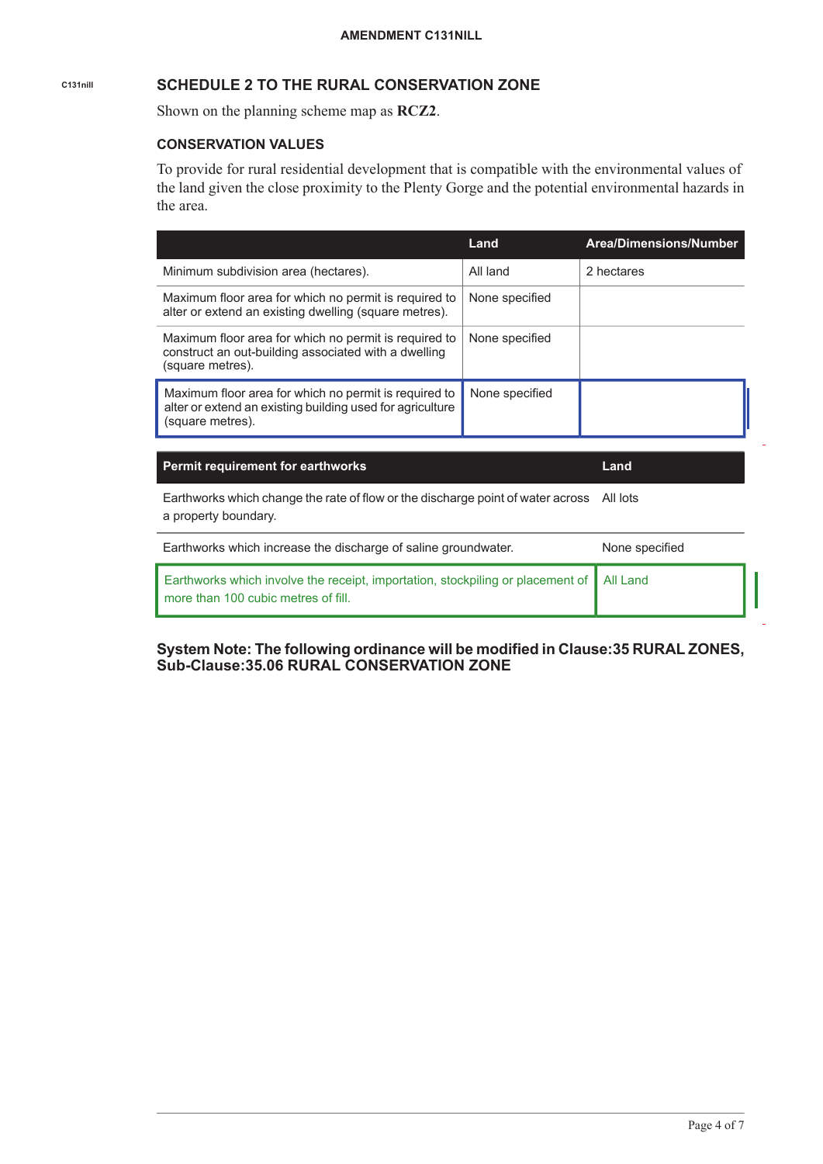# **C131nill SCHEDULE 2 TO THE RURAL CONSERVATION ZONE**

Shown on the planning scheme map as **RCZ2**.

## **CONSERVATION VALUES**

To provide for rural residential development that is compatible with the environmental values of the land given the close proximity to the Plenty Gorge and the potential environmental hazards in the area.

|                                                                                                                                        | Land           | <b>Area/Dimensions/Number</b> |
|----------------------------------------------------------------------------------------------------------------------------------------|----------------|-------------------------------|
| Minimum subdivision area (hectares).                                                                                                   | All land       | 2 hectares                    |
| Maximum floor area for which no permit is required to<br>alter or extend an existing dwelling (square metres).                         | None specified |                               |
| Maximum floor area for which no permit is required to<br>construct an out-building associated with a dwelling<br>(square metres).      | None specified |                               |
| Maximum floor area for which no permit is required to<br>alter or extend an existing building used for agriculture<br>(square metres). | None specified |                               |

| <b>Permit requirement for earthworks</b> | Land |
|------------------------------------------|------|
|                                          |      |

Earthworks which change the rate of flow or the discharge point of water across All lots a property boundary.

| Earthworks which increase the discharge of saline groundwater.                                                                 | None specified |  |
|--------------------------------------------------------------------------------------------------------------------------------|----------------|--|
| Earthworks which involve the receipt, importation, stockpiling or placement of All Land<br>more than 100 cubic metres of fill. |                |  |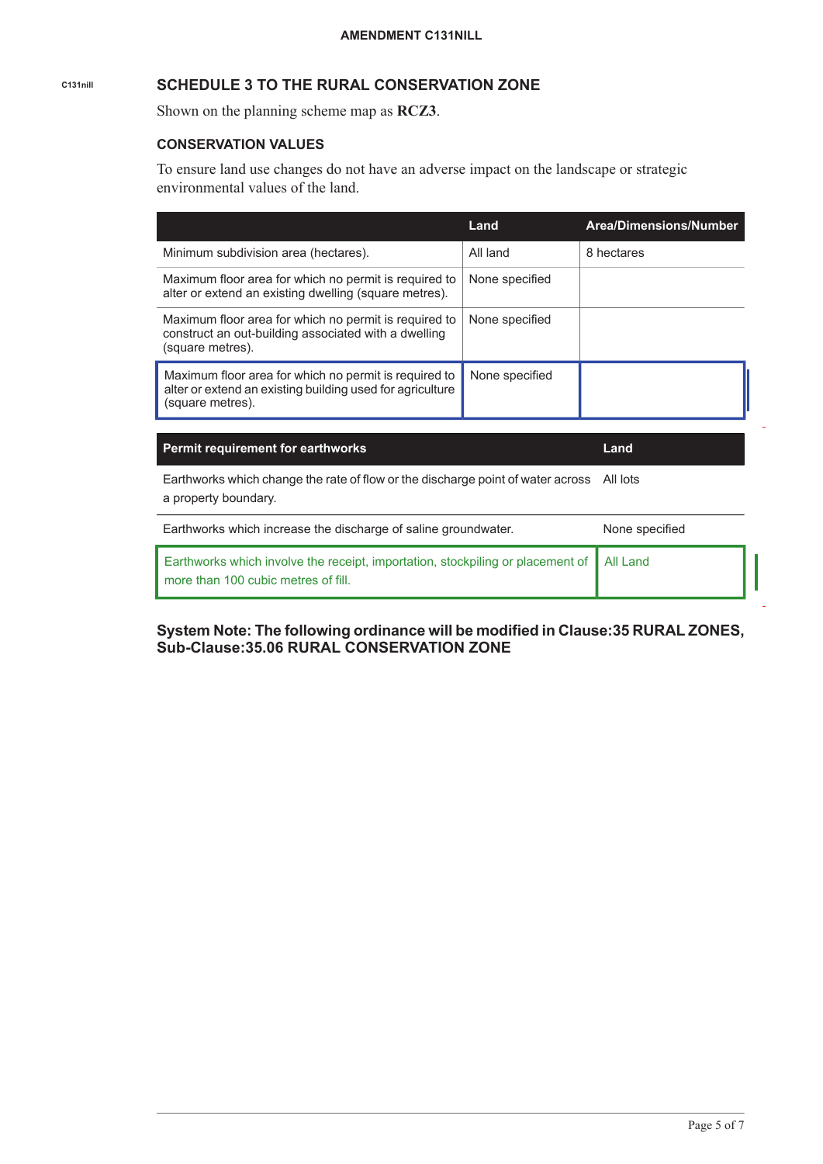# **C131nill SCHEDULE 3 TO THE RURAL CONSERVATION ZONE**

Shown on the planning scheme map as **RCZ3**.

#### **CONSERVATION VALUES**

To ensure land use changes do not have an adverse impact on the landscape or strategic environmental values of the land.

|                                                                                                                                        | Land           | <b>Area/Dimensions/Number</b> |
|----------------------------------------------------------------------------------------------------------------------------------------|----------------|-------------------------------|
| Minimum subdivision area (hectares).                                                                                                   | All land       | 8 hectares                    |
| Maximum floor area for which no permit is required to<br>alter or extend an existing dwelling (square metres).                         | None specified |                               |
| Maximum floor area for which no permit is required to<br>construct an out-building associated with a dwelling<br>(square metres).      | None specified |                               |
| Maximum floor area for which no permit is required to<br>alter or extend an existing building used for agriculture<br>(square metres). | None specified |                               |

**Permit requirement for earthworks Land**

Earthworks which change the rate of flow or the discharge point of water across All lots a property boundary.

| Earthworks which increase the discharge of saline groundwater.                                                                   | None specified |
|----------------------------------------------------------------------------------------------------------------------------------|----------------|
| Earthworks which involve the receipt, importation, stockpiling or placement of   All Land<br>more than 100 cubic metres of fill. |                |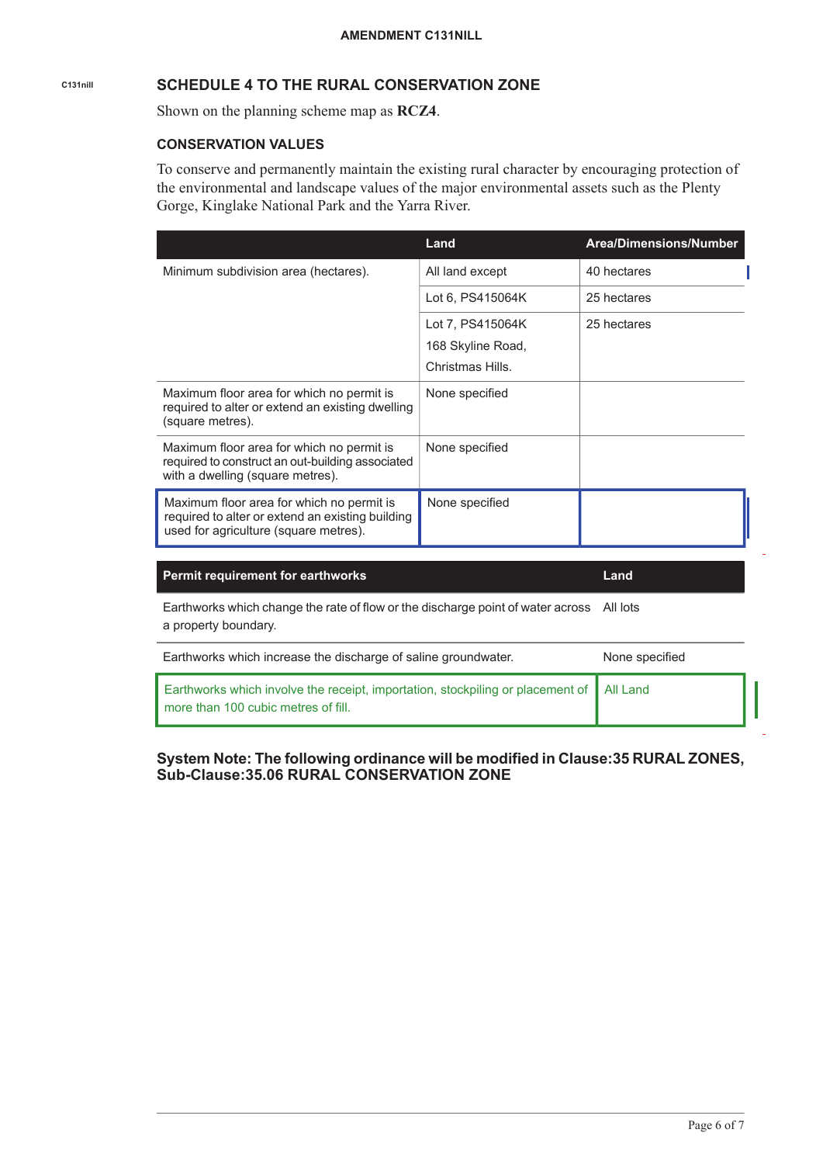# **C131nill SCHEDULE 4 TO THE RURAL CONSERVATION ZONE**

Shown on the planning scheme map as **RCZ4**.

#### **CONSERVATION VALUES**

To conserve and permanently maintain the existing rural character by encouraging protection of the environmental and landscape values of the major environmental assets such as the Plenty Gorge, Kinglake National Park and the Yarra River.

|                                                                                                                                        | Land                                                      | Area/Dimensions/Number |
|----------------------------------------------------------------------------------------------------------------------------------------|-----------------------------------------------------------|------------------------|
| Minimum subdivision area (hectares).                                                                                                   | All land except                                           | 40 hectares            |
|                                                                                                                                        | Lot 6, PS415064K                                          | 25 hectares            |
|                                                                                                                                        | Lot 7, PS415064K<br>168 Skyline Road,<br>Christmas Hills. | 25 hectares            |
| Maximum floor area for which no permit is<br>required to alter or extend an existing dwelling<br>(square metres).                      | None specified                                            |                        |
| Maximum floor area for which no permit is<br>required to construct an out-building associated<br>with a dwelling (square metres).      | None specified                                            |                        |
| Maximum floor area for which no permit is<br>required to alter or extend an existing building<br>used for agriculture (square metres). | None specified                                            |                        |
| <b>Permit requirement for earthworks</b>                                                                                               |                                                           | Land                   |

Earthworks which change the rate of flow or the discharge point of water across All lots a property boundary.

| Earthworks which increase the discharge of saline groundwater.                                                                   | None specified |
|----------------------------------------------------------------------------------------------------------------------------------|----------------|
| Earthworks which involve the receipt, importation, stockpiling or placement of   All Land<br>more than 100 cubic metres of fill. |                |